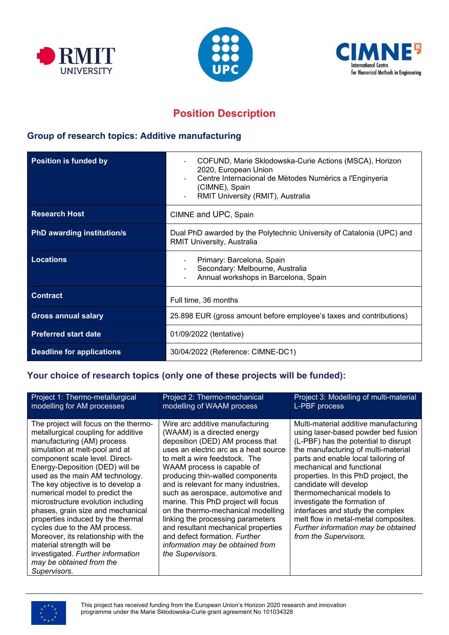





# **Position Description**

## **Group of research topics: Additive manufacturing**

| <b>Position is funded by</b>      | COFUND, Marie Sklodowska-Curie Actions (MSCA), Horizon<br>2020, European Union<br>Centre Internacional de Mètodes Numèrics a l'Enginyeria<br>(CIMNE), Spain<br>RMIT University (RMIT), Australia |
|-----------------------------------|--------------------------------------------------------------------------------------------------------------------------------------------------------------------------------------------------|
| <b>Research Host</b>              | CIMNE and UPC, Spain                                                                                                                                                                             |
| <b>PhD awarding institution/s</b> | Dual PhD awarded by the Polytechnic University of Catalonia (UPC) and<br><b>RMIT University, Australia</b>                                                                                       |
| <b>Locations</b>                  | Primary: Barcelona, Spain<br>Secondary: Melbourne, Australia<br>Annual workshops in Barcelona, Spain                                                                                             |
| <b>Contract</b>                   | Full time, 36 months                                                                                                                                                                             |
| <b>Gross annual salary</b>        | 25.898 EUR (gross amount before employee's taxes and contributions)                                                                                                                              |
| <b>Preferred start date</b>       | 01/09/2022 (tentative)                                                                                                                                                                           |
| <b>Deadline for applications</b>  | 30/04/2022 (Reference: CIMNE-DC1)                                                                                                                                                                |

## **Your choice of research topics (only one of these projects will be funded):**

| Project 1: Thermo-metallurgical<br>modelling for AM processes                                                                                                                                                                                                                                                                                                                                                                                                                                                                                                                                                                     | Project 2: Thermo-mechanical<br>modelling of WAAM process                                                                                                                                                                                                                                                                                                                                                                                                                                                                                                                     | Project 3: Modelling of multi-material<br>L-PBF process                                                                                                                                                                                                                                                                                                                                                                                                                                                     |
|-----------------------------------------------------------------------------------------------------------------------------------------------------------------------------------------------------------------------------------------------------------------------------------------------------------------------------------------------------------------------------------------------------------------------------------------------------------------------------------------------------------------------------------------------------------------------------------------------------------------------------------|-------------------------------------------------------------------------------------------------------------------------------------------------------------------------------------------------------------------------------------------------------------------------------------------------------------------------------------------------------------------------------------------------------------------------------------------------------------------------------------------------------------------------------------------------------------------------------|-------------------------------------------------------------------------------------------------------------------------------------------------------------------------------------------------------------------------------------------------------------------------------------------------------------------------------------------------------------------------------------------------------------------------------------------------------------------------------------------------------------|
| The project will focus on the thermo-<br>metallurgical coupling for additive<br>manufacturing (AM) process<br>simulation at melt-pool and at<br>component scale level. Direct-<br>Energy-Deposition (DED) will be<br>used as the main AM technology.<br>The key objective is to develop a<br>numerical model to predict the<br>microstructure evolution including<br>phases, grain size and mechanical<br>properties induced by the thermal<br>cycles due to the AM process.<br>Moreover, its relationship with the<br>material strength will be<br>investigated. Further information<br>may be obtained from the<br>Supervisors. | Wire arc additive manufacturing<br>(WAAM) is a directed energy<br>deposition (DED) AM process that<br>uses an electric arc as a heat source<br>to melt a wire feedstock. The<br>WAAM process is capable of<br>producing thin-walled components<br>and is relevant for many industries,<br>such as aerospace, automotive and<br>marine. This PhD project will focus<br>on the thermo-mechanical modelling<br>linking the processing parameters<br>and resultant mechanical properties<br>and defect formation. Further<br>information may be obtained from<br>the Supervisors. | Multi-material additive manufacturing<br>using laser-based powder bed fusion<br>(L-PBF) has the potential to disrupt<br>the manufacturing of multi-material<br>parts and enable local tailoring of<br>mechanical and functional<br>properties. In this PhD project, the<br>candidate will develop<br>thermomechanical models to<br>investigate the formation of<br>interfaces and study the complex<br>melt flow in metal-metal composites.<br>Further information may be obtained<br>from the Supervisors. |

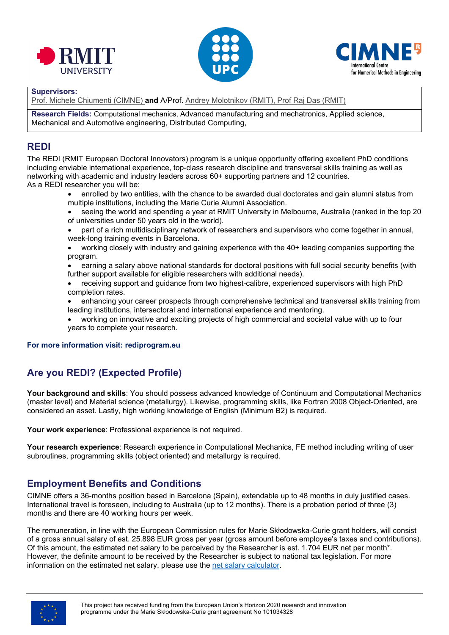





#### **Supervisors:**

Prof. Michele Chiumenti (CIMNE) **and** A/Prof. Andrey Molotnikov (RMIT), Prof Raj Das (RMIT)

**Research Fields:** Computational mechanics, Advanced manufacturing and mechatronics, Applied science, Mechanical and Automotive engineering, Distributed Computing,

### **REDI**

The REDI (RMIT European Doctoral Innovators) program is a unique opportunity offering excellent PhD conditions including enviable international experience, top-class research discipline and transversal skills training as well as networking with academic and industry leaders across 60+ supporting partners and 12 countries. As a REDI researcher you will be:

- enrolled by two entities, with the chance to be awarded dual doctorates and gain alumni status from multiple institutions, including the Marie Curie Alumni Association.
- seeing the world and spending a year at RMIT University in Melbourne, Australia (ranked in the top 20 of universities under 50 years old in the world).
- part of a rich multidisciplinary network of researchers and supervisors who come together in annual, week-long training events in Barcelona.
- working closely with industry and gaining experience with the 40+ leading companies supporting the program.
- earning a salary above national standards for doctoral positions with full social security benefits (with further support available for eligible researchers with additional needs).
- receiving support and guidance from two highest-calibre, experienced supervisors with high PhD completion rates.
- enhancing your career prospects through comprehensive technical and transversal skills training from leading institutions, intersectoral and international experience and mentoring.
- working on innovative and exciting projects of high commercial and societal value with up to four years to complete your research.

### **For more information visit: rediprogram.eu**

# **Are you REDI? (Expected Profile)**

**Your background and skills**: You should possess advanced knowledge of Continuum and Computational Mechanics (master level) and Material science (metallurgy). Likewise, programming skills, like Fortran 2008 Object-Oriented, are considered an asset. Lastly, high working knowledge of English (Minimum B2) is required.

**Your work experience**: Professional experience is not required.

**Your research experience**: Research experience in Computational Mechanics, FE method including writing of user subroutines, programming skills (object oriented) and metallurgy is required.

## **Employment Benefits and Conditions**

CIMNE offers a 36-months position based in Barcelona (Spain), extendable up to 48 months in duly justified cases. International travel is foreseen, including to Australia (up to 12 months). There is a probation period of three (3) months and there are 40 working hours per week.

The remuneration, in line with the European Commission rules for Marie Skłodowska-Curie grant holders, will consist of a gross annual salary of est. 25.898 EUR gross per year (gross amount before employee's taxes and contributions). Of this amount, the estimated net salary to be perceived by the Researcher is est. 1.704 EUR net per month\*. However, the definite amount to be received by the Researcher is subject to national tax legislation. For more information on the estimated net salary, please use the [net salary calculator.](https://cincodias.elpais.com/herramientas/calculadora-sueldo-neto/)

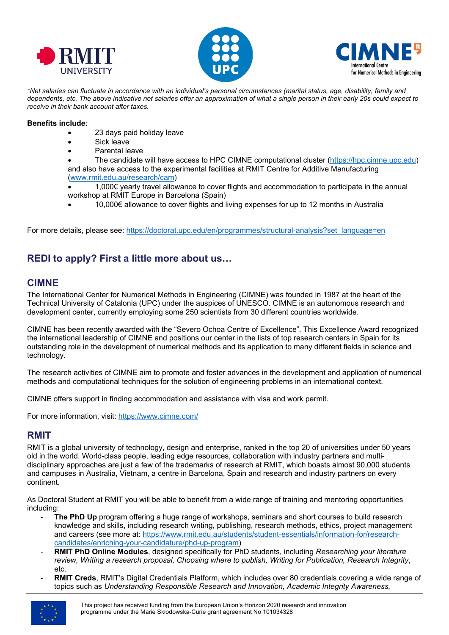





*\*Net salaries can fluctuate in accordance with an individual's personal circumstances (marital status, age, disability, family and dependents, etc. The above indicative net salaries offer an approximation of what a single person in their early 20s could expect to receive in their bank account after taxes.*

#### **Benefits include**:

- 23 days paid holiday leave
- Sick leave
- Parental leave

• The candidate will have access to HPC CIMNE computational cluster ([https://hpc.cimne.upc.edu\)](https://hpc.cimne.upc.edu/) and also have access to the experimental facilities at RMIT Centre for Additive Manufacturing ([www.rmit.edu.au/research/cam](http://www.rmit.edu.au/research/cam))

• 1,000€ yearly travel allowance to cover flights and accommodation to participate in the annual workshop at RMIT Europe in Barcelona (Spain)

• 10,000€ allowance to cover flights and living expenses for up to 12 months in Australia

For more details, please see: [https://doctorat.upc.edu/en/programmes/structural-analysis?set\\_language=en](https://doctorat.upc.edu/en/programmes/structural-analysis?set_language=en)

# **REDI to apply? First a little more about us…**

### **CIMNE**

The International Center for Numerical Methods in Engineering (CIMNE) was founded in 1987 at the heart of the Technical University of Catalonia (UPC) under the auspices of UNESCO. CIMNE is an autonomous research and development center, currently employing some 250 scientists from 30 different countries worldwide.

CIMNE has been recently awarded with the "Severo Ochoa Centre of Excellence". This Excellence Award recognized the international leadership of CIMNE and positions our center in the lists of top research centers in Spain for its outstanding role in the development of numerical methods and its application to many different fields in science and technology.

The research activities of CIMNE aim to promote and foster advances in the development and application of numerical methods and computational techniques for the solution of engineering problems in an international context.

CIMNE offers support in finding accommodation and assistance with visa and work permit.

For more information, visit: <https://www.cimne.com/>

### **RMIT**

RMIT is a global university of technology, design and enterprise, ranked in the top 20 of universities under 50 years old in the world. World-class people, leading edge resources, collaboration with industry partners and multidisciplinary approaches are just a few of the trademarks of research at RMIT, which boasts almost 90,000 students and campuses in Australia, Vietnam, a centre in Barcelona, Spain and research and industry partners on every continent.

As Doctoral Student at RMIT you will be able to benefit from a wide range of training and mentoring opportunities including:

- **The PhD Up** program offering a huge range of workshops, seminars and short courses to build research knowledge and skills, including research writing, publishing, research methods, ethics, project management and careers (see more at: [https://www.rmit.edu.au/students/student](https://www.rmit.edu.au/students/student-essentials/information-for/research-candidates/enriching-your-candidature/phd-up-program)-essentials/information-for/research[candidates/enriching-your-candidature/phd-up-program\)](https://www.rmit.edu.au/students/student-essentials/information-for/research-candidates/enriching-your-candidature/phd-up-program)
- **RMIT PhD Online Modules**, designed specifically for PhD students, including *Researching your literature review, Writing a research proposal, Choosing where to publish, Writing for Publication, Research Integrity*, etc.
- **RMIT Creds**, RMIT's Digital Credentials Platform, which includes over 80 credentials covering a wide range of topics such as *Understanding Responsible Research and Innovation, Academic Integrity Awareness,*

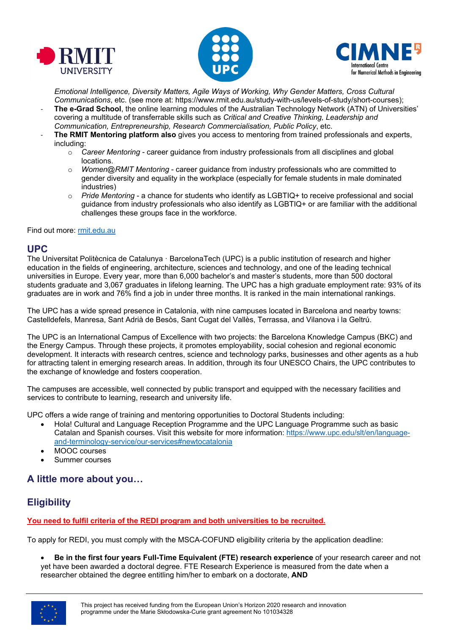





*Emotional Intelligence, Diversity Matters, Agile Ways of Working, Why Gender Matters, Cross Cultural Communications*, etc. (see more at: https://www.rmit.edu.au/study-with-us/levels-of-study/short-courses);

- The e-Grad School, the online learning modules of the Australian Technology Network (ATN) of Universities' covering a multitude of transferrable skills such as *Critical and Creative Thinking, Leadership and Communication, Entrepreneurship, Research Commercialisation, Public Policy*, etc.
	- **The RMIT Mentoring platform also** gives you access to mentoring from trained professionals and experts, including:
		- o *Career Mentoring* career guidance from industry professionals from all disciplines and global locations.
		- o *Women@RMIT Mentoring* career guidance from industry professionals who are committed to gender diversity and equality in the workplace (especially for female students in male dominated industries)
		- o *Pride Mentoring* a chance for students who identify as LGBTIQ+ to receive professional and social guidance from industry professionals who also identify as LGBTIQ+ or are familiar with the additional challenges these groups face in the workforce.

### Find out more: [rmit.edu.au](https://www.rmit.edu.au/)

### **UPC**

The Universitat Politècnica de Catalunya · BarcelonaTech (UPC) is a public institution of research and higher education in the fields of engineering, architecture, sciences and technology, and one of the leading technical universities in Europe. Every year, more than 6,000 bachelor's and master's students, more than 500 doctoral students graduate and 3,067 graduates in lifelong learning. The UPC has a high graduate employment rate: 93% of its graduates are in work and 76% find a job in under three months. It is ranked in the main international rankings.

The UPC has a wide spread presence in Catalonia, with nine campuses located in Barcelona and nearby towns: Castelldefels, Manresa, Sant Adrià de Besòs, Sant Cugat del Vallès, Terrassa, and Vilanova i la Geltrú.

The UPC is an International Campus of Excellence with two projects: the Barcelona Knowledge Campus (BKC) and the Energy Campus. Through these projects, it promotes employability, social cohesion and regional economic development. It interacts with research centres, science and technology parks, businesses and other agents as a hub for attracting talent in emerging research areas. In addition, through its four UNESCO Chairs, the UPC contributes to the exchange of knowledge and fosters cooperation.

The campuses are accessible, well connected by public transport and equipped with the necessary facilities and services to contribute to learning, research and university life.

UPC offers a wide range of training and mentoring opportunities to Doctoral Students including:

- Hola! Cultural and Language Reception Programme and the UPC Language Programme such as basic Catalan and Spanish courses. Visit this website for more information: [https://www.upc.edu/slt/en/language](https://www.upc.edu/slt/en/language-and-terminology-service/our-services#newtocatalonia)[and-terminology-service/our-](https://www.upc.edu/slt/en/language-and-terminology-service/our-services#newtocatalonia)services#newtocatalonia
- MOOC courses
- Summer courses

## **A little more about you…**

# **Eligibility**

**You need to fulfil criteria of the REDI program and both universities to be recruited.**

To apply for REDI, you must comply with the MSCA-COFUND eligibility criteria by the application deadline:

• **Be in the first four years Full-Time Equivalent (FTE) research experience** of your research career and not yet have been awarded a doctoral degree. FTE Research Experience is measured from the date when a researcher obtained the degree entitling him/her to embark on a doctorate, **AND**

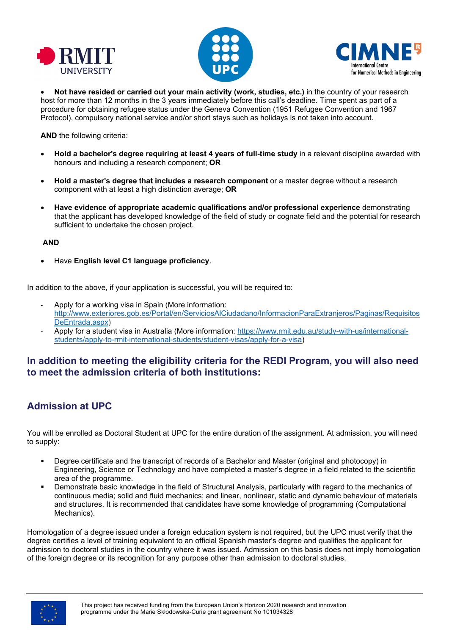





• **Not have resided or carried out your main activity (work, studies, etc.)** in the country of your research host for more than 12 months in the 3 years immediately before this call's deadline. Time spent as part of a procedure for obtaining refugee status under the Geneva Convention (1951 Refugee Convention and 1967 Protocol), compulsory national service and/or short stays such as holidays is not taken into account.

**AND** the following criteria:

- **Hold a bachelor's degree requiring at least 4 years of full-time study** in a relevant discipline awarded with honours and including a research component; **OR**
- **Hold a master's degree that includes a research component** or a master degree without a research component with at least a high distinction average; **OR**
- **Have evidence of appropriate academic qualifications and/or professional experience** demonstrating that the applicant has developed knowledge of the field of study or cognate field and the potential for research sufficient to undertake the chosen project.

### **AND**

• Have **English level C1 language proficiency**.

In addition to the above, if your application is successful, you will be required to:

- Apply for a working visa in Spain (More information: [http://www.exteriores.gob.es/Portal/en/ServiciosAlCiudadano/InformacionParaExtranjeros/Paginas/Requisitos](http://www.exteriores.gob.es/Portal/en/ServiciosAlCiudadano/InformacionParaExtranjeros/Paginas/RequisitosDeEntrada.aspx) [DeEntrada.aspx](http://www.exteriores.gob.es/Portal/en/ServiciosAlCiudadano/InformacionParaExtranjeros/Paginas/RequisitosDeEntrada.aspx))
- Apply for a student visa in Australia (More information: [https://www.rmit.edu.au/study](https://www.rmit.edu.au/study-with-us/international-students/apply-to-rmit-international-students/student-visas/apply-for-a-visa)-with-us/international[students/apply-to-rmit-international-students/student-visas/apply-for-a-visa\)](https://www.rmit.edu.au/study-with-us/international-students/apply-to-rmit-international-students/student-visas/apply-for-a-visa)

## **In addition to meeting the eligibility criteria for the REDI Program, you will also need to meet the admission criteria of both institutions:**

# **Admission at UPC**

You will be enrolled as Doctoral Student at UPC for the entire duration of the assignment. At admission, you will need to supply:

- Degree certificate and the transcript of records of a Bachelor and Master (original and photocopy) in Engineering, Science or Technology and have completed a master's degree in a field related to the scientific area of the programme.
- Demonstrate basic knowledge in the field of Structural Analysis, particularly with regard to the mechanics of continuous media; solid and fluid mechanics; and linear, nonlinear, static and dynamic behaviour of materials and structures. It is recommended that candidates have some knowledge of programming (Computational Mechanics).

Homologation of a degree issued under a foreign education system is not required, but the UPC must verify that the degree certifies a level of training equivalent to an official Spanish master's degree and qualifies the applicant for admission to doctoral studies in the country where it was issued. Admission on this basis does not imply homologation of the foreign degree or its recognition for any purpose other than admission to doctoral studies.